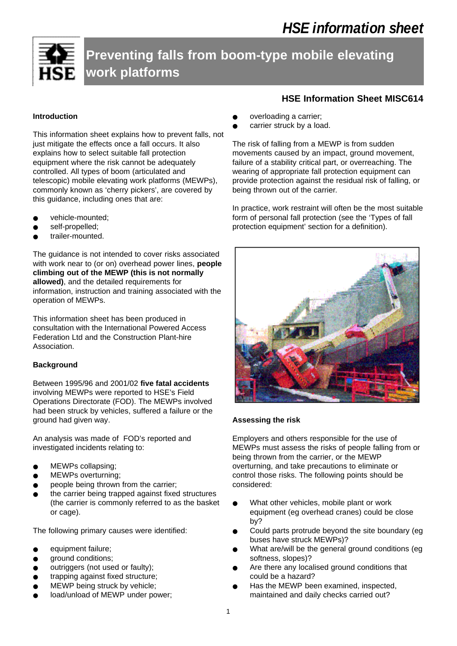**Preventing falls from boom-type mobile elevating work platforms**

# **Introduction**

This information sheet explains how to prevent falls, not just mitigate the effects once a fall occurs. It also explains how to select suitable fall protection equipment where the risk cannot be adequately controlled. All types of boom (articulated and telescopic) mobile elevating work platforms (MEWPs), commonly known as 'cherry pickers', are covered by this guidance, including ones that are:

- vehicle-mounted;
- self-propelled;
- trailer-mounted.

The guidance is not intended to cover risks associated with work near to (or on) overhead power lines, **people climbing out of the MEWP (this is not normally allowed)**, and the detailed requirements for information, instruction and training associated with the operation of MEWPs.

This information sheet has been produced in consultation with the International Powered Access Federation Ltd and the Construction Plant-hire Association.

# **Background**

Between 1995/96 and 2001/02 **five fatal accidents** involving MEWPs were reported to HSE's Field Operations Directorate (FOD). The MEWPs involved had been struck by vehicles, suffered a failure or the ground had given way.

An analysis was made of FOD's reported and investigated incidents relating to:

- MEWPs collapsing;
- MEWPs overturning;
- people being thrown from the carrier;
- the carrier being trapped against fixed structures (the carrier is commonly referred to as the basket or cage).

The following primary causes were identified:

- equipment failure;
- ground conditions;
- outriggers (not used or faulty);
- trapping against fixed structure;
- MEWP being struck by vehicle;
- load/unload of MEWP under power;

# **HSE Information Sheet MISC614**

- overloading a carrier;
- carrier struck by a load.

The risk of falling from a MEWP is from sudden movements caused by an impact, ground movement, failure of a stability critical part, or overreaching. The wearing of appropriate fall protection equipment can provide protection against the residual risk of falling, or being thrown out of the carrier.

In practice, work restraint will often be the most suitable form of personal fall protection (see the 'Types of fall protection equipment' section for a definition).



# **Assessing the risk**

Employers and others responsible for the use of MEWPs must assess the risks of people falling from or being thrown from the carrier, or the MEWP overturning, and take precautions to eliminate or control those risks. The following points should be considered:

- What other vehicles, mobile plant or work equipment (eg overhead cranes) could be close by?
- Could parts protrude beyond the site boundary (eg buses have struck MEWPs)?
- What are/will be the general ground conditions (eg softness, slopes)?
- Are there any localised ground conditions that could be a hazard?
- Has the MEWP been examined, inspected, maintained and daily checks carried out?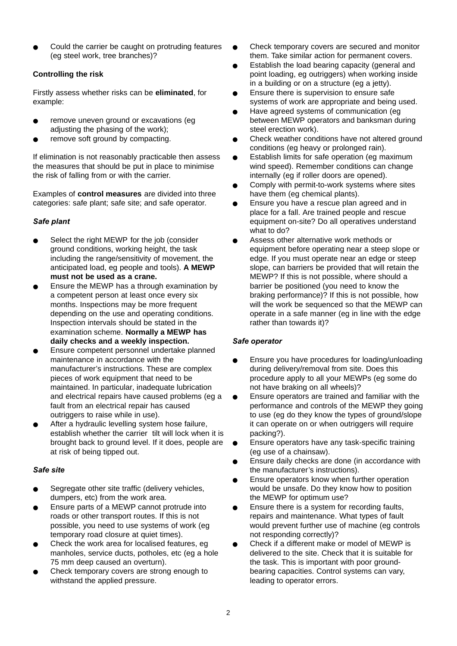Could the carrier be caught on protruding features (eg steel work, tree branches)?

# **Controlling the risk**

Firstly assess whether risks can be **eliminated**, for example:

- remove uneven ground or excavations (eg adjusting the phasing of the work);
- remove soft ground by compacting.

If elimination is not reasonably practicable then assess the measures that should be put in place to minimise the risk of falling from or with the carrier.

Examples of **control measures** are divided into three categories: safe plant; safe site; and safe operator.

## *Safe plant*

- Select the right MEWP for the job (consider ground conditions, working height, the task including the range/sensitivity of movement, the anticipated load, eg people and tools). **A MEWP must not be used as a crane.**
- Ensure the MEWP has a through examination by a competent person at least once every six months. Inspections may be more frequent depending on the use and operating conditions. Inspection intervals should be stated in the examination scheme. **Normally a MEWP has daily checks and a weekly inspection.**
- Ensure competent personnel undertake planned maintenance in accordance with the manufacturer's instructions. These are complex pieces of work equipment that need to be maintained. In particular, inadequate lubrication and electrical repairs have caused problems (eg a fault from an electrical repair has caused outriggers to raise while in use).
- After a hydraulic levelling system hose failure, establish whether the carrier tilt will lock when it is brought back to ground level. If it does, people are at risk of being tipped out.

## *Safe site*

- Segregate other site traffic (delivery vehicles, dumpers, etc) from the work area.
- Ensure parts of a MEWP cannot protrude into roads or other transport routes. If this is not possible, you need to use systems of work (eg temporary road closure at quiet times).
- Check the work area for localised features, eg manholes, service ducts, potholes, etc (eg a hole 75 mm deep caused an overturn).
- Check temporary covers are strong enough to withstand the applied pressure.
- Check temporary covers are secured and monitor them. Take similar action for permanent covers.
- Establish the load bearing capacity (general and point loading, eg outriggers) when working inside in a building or on a structure (eg a jetty).
- Ensure there is supervision to ensure safe systems of work are appropriate and being used.
- Have agreed systems of communication (eg between MEWP operators and banksman during steel erection work).
- Check weather conditions have not altered ground conditions (eg heavy or prolonged rain).
- Establish limits for safe operation (eg maximum wind speed). Remember conditions can change internally (eg if roller doors are opened).
- Comply with permit-to-work systems where sites have them (eg chemical plants).
- Ensure you have a rescue plan agreed and in place for a fall. Are trained people and rescue equipment on-site? Do all operatives understand what to do?
- Assess other alternative work methods or equipment before operating near a steep slope or edge. If you must operate near an edge or steep slope, can barriers be provided that will retain the MEWP? If this is not possible, where should a barrier be positioned (you need to know the braking performance)? If this is not possible, how will the work be sequenced so that the MEWP can operate in a safe manner (eg in line with the edge rather than towards it)?

## *Safe operator*

- Ensure you have procedures for loading/unloading during delivery/removal from site. Does this procedure apply to all your MEWPs (eg some do not have braking on all wheels)?
- Ensure operators are trained and familiar with the performance and controls of the MEWP they going to use (eg do they know the types of ground/slope it can operate on or when outriggers will require packing?).
- Ensure operators have any task-specific training (eg use of a chainsaw).
- Ensure daily checks are done (in accordance with the manufacturer's instructions).
- Ensure operators know when further operation would be unsafe. Do they know how to position the MEWP for optimum use?
- Ensure there is a system for recording faults, repairs and maintenance. What types of fault would prevent further use of machine (eg controls not responding correctly)?
- Check if a different make or model of MEWP is delivered to the site. Check that it is suitable for the task. This is important with poor groundbearing capacities. Control systems can vary, leading to operator errors.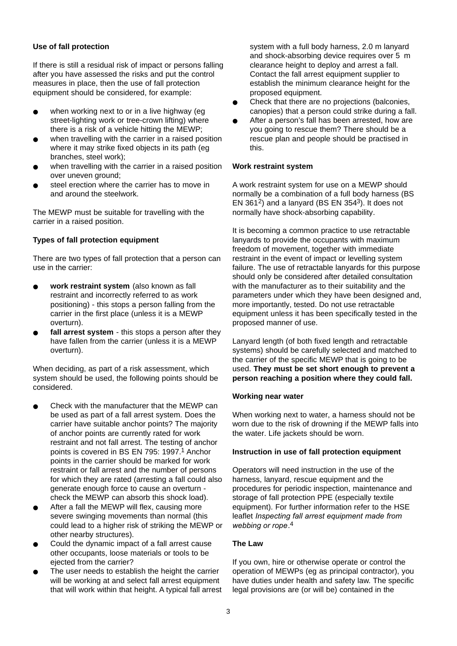## **Use of fall protection**

If there is still a residual risk of impact or persons falling after you have assessed the risks and put the control measures in place, then the use of fall protection equipment should be considered, for example:

- when working next to or in a live highway (eg street-lighting work or tree-crown lifting) where there is a risk of a vehicle hitting the MEWP;
- when travelling with the carrier in a raised position where it may strike fixed objects in its path (eg branches, steel work);
- when travelling with the carrier in a raised position over uneven ground;
- steel erection where the carrier has to move in and around the steelwork.

The MEWP must be suitable for travelling with the carrier in a raised position.

## **Types of fall protection equipment**

There are two types of fall protection that a person can use in the carrier:

- work restraint system (also known as fall restraint and incorrectly referred to as work positioning) - this stops a person falling from the carrier in the first place (unless it is a MEWP overturn).
- fall arrest system this stops a person after they have fallen from the carrier (unless it is a MEWP overturn).

When deciding, as part of a risk assessment, which system should be used, the following points should be considered.

- Check with the manufacturer that the MEWP can be used as part of a fall arrest system. Does the carrier have suitable anchor points? The majority of anchor points are currently rated for work restraint and not fall arrest. The testing of anchor points is covered in BS EN 795: 1997.<sup>1</sup> Anchor points in the carrier should be marked for work restraint or fall arrest and the number of persons for which they are rated (arresting a fall could also generate enough force to cause an overturn check the MEWP can absorb this shock load).
- After a fall the MEWP will flex, causing more severe swinging movements than normal (this could lead to a higher risk of striking the MEWP or other nearby structures).
- Could the dynamic impact of a fall arrest cause other occupants, loose materials or tools to be ejected from the carrier?
- The user needs to establish the height the carrier will be working at and select fall arrest equipment that will work within that height. A typical fall arrest

system with a full body harness, 2.0 m lanyard and shock-absorbing device requires over 5 m clearance height to deploy and arrest a fall. Contact the fall arrest equipment supplier to establish the minimum clearance height for the proposed equipment.

- Check that there are no projections (balconies, canopies) that a person could strike during a fall.
- After a person's fall has been arrested, how are you going to rescue them? There should be a rescue plan and people should be practised in this.

## **Work restraint system**

A work restraint system for use on a MEWP should normally be a combination of a full body harness (BS EN 361 $^2$ ) and a lanyard (BS EN 354 $^3$ ). It does not normally have shock-absorbing capability.

It is becoming a common practice to use retractable lanyards to provide the occupants with maximum freedom of movement, together with immediate restraint in the event of impact or levelling system failure. The use of retractable lanyards for this purpose should only be considered after detailed consultation with the manufacturer as to their suitability and the parameters under which they have been designed and, more importantly, tested. Do not use retractable equipment unless it has been specifically tested in the proposed manner of use.

Lanyard length (of both fixed length and retractable systems) should be carefully selected and matched to the carrier of the specific MEWP that is going to be used. **They must be set short enough to prevent a person reaching a position where they could fall.**

## **Working near water**

When working next to water, a harness should not be worn due to the risk of drowning if the MEWP falls into the water. Life jackets should be worn.

#### **Instruction in use of fall protection equipment**

Operators will need instruction in the use of the harness, lanyard, rescue equipment and the procedures for periodic inspection, maintenance and storage of fall protection PPE (especially textile equipment). For further information refer to the HSE leaflet Inspecting fall arrest equipment made from webbing or rope.<sup>4</sup>

## **The Law**

If you own, hire or otherwise operate or control the operation of MEWPs (eg as principal contractor), you have duties under health and safety law. The specific legal provisions are (or will be) contained in the